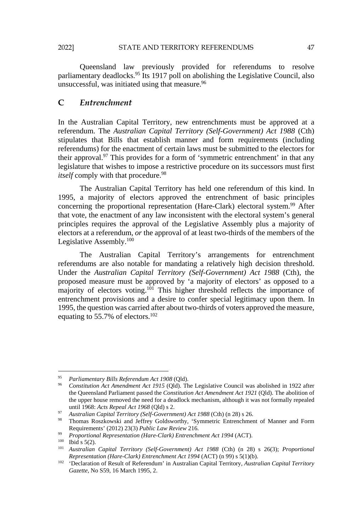Queensland law previously provided for referendums to resolve parliamentary deadlocks.<sup>95</sup> Its 1917 poll on abolishing the Legislative Council, also unsuccessful, was initiated using that measure.<sup>96</sup>

### **C** *Entrenchment*

In the Australian Capital Territory, new entrenchments must be approved at a referendum. The *Australian Capital Territory (Self-Government) Act 1988* (Cth) stipulates that Bills that establish manner and form requirements (including referendums) for the enactment of certain laws must be submitted to the electors for their approval.97 This provides for a form of 'symmetric entrenchment' in that any legislature that wishes to impose a restrictive procedure on its successors must first *itself* comply with that procedure.<sup>98</sup>

The Australian Capital Territory has held one referendum of this kind. In 1995, a majority of electors approved the entrenchment of basic principles concerning the proportional representation (Hare-Clark) electoral system.99 After that vote, the enactment of any law inconsistent with the electoral system's general principles requires the approval of the Legislative Assembly plus a majority of electors at a referendum, *or* the approval of at least two-thirds of the members of the Legislative Assembly.100

The Australian Capital Territory's arrangements for entrenchment referendums are also notable for mandating a relatively high decision threshold. Under the *Australian Capital Territory (Self-Government) Act 1988* (Cth), the proposed measure must be approved by 'a majority of electors' as opposed to a majority of electors voting.<sup>101</sup> This higher threshold reflects the importance of entrenchment provisions and a desire to confer special legitimacy upon them. In 1995, the question was carried after about two-thirds of voters approved the measure, equating to 55.7% of electors.102

l

<sup>95</sup> *Parliamentary Bills Referendum Act 1908* (Qld). 96 *Constitution Act Amendment Act 1915* (Qld). The Legislative Council was abolished in 1922 after the Queensland Parliament passed the *Constitution Act Amendment Act 1921* (Qld). The abolition of the upper house removed the need for a deadlock mechanism, although it was not formally repealed until 1968: *Acts Repeal Act 1968* (Qld) s 2. 97 *Australian Capital Territory (Self-Government) Act 1988* (Cth) (n 28) s 26. 98 Thomas Roszkowski and Jeffrey Goldsworthy, 'Symmetric Entrenchment of Manner and Form

Requirements' (2012) 23(3) Public Law Review 216.<br>
<sup>99</sup> Proportional Representation (Hare-Clark) Entrenchment Act 1994 (ACT).<br>
<sup>100</sup> Ibid s 5(2).<br>
<sup>101</sup> Australian Capital Territory (Self-Government) Act 1988 (Cth) (n 28)

*Representation (Hare-Clark) Entrenchment Act 1994* (ACT) (n 99) s 5(1)(b). 102 'Declaration of Result of Referendum' in Australian Capital Territory, *Australian Capital Territory* 

*Gazette*, No S59, 16 March 1995, 2.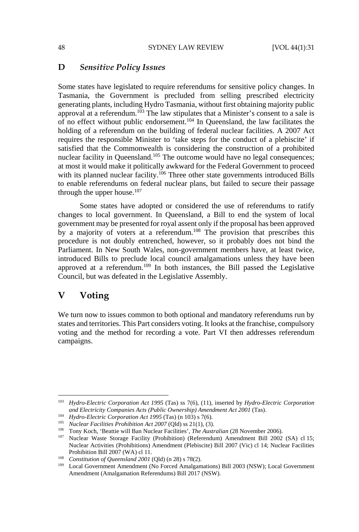#### **D** *Sensitive Policy Issues*

Some states have legislated to require referendums for sensitive policy changes. In Tasmania, the Government is precluded from selling prescribed electricity generating plants, including Hydro Tasmania, without first obtaining majority public approval at a referendum.<sup>103</sup> The law stipulates that a Minister's consent to a sale is of no effect without public endorsement.104 In Queensland, the law facilitates the holding of a referendum on the building of federal nuclear facilities. A 2007 Act requires the responsible Minister to 'take steps for the conduct of a plebiscite' if satisfied that the Commonwealth is considering the construction of a prohibited nuclear facility in Queensland.<sup>105</sup> The outcome would have no legal consequences; at most it would make it politically awkward for the Federal Government to proceed with its planned nuclear facility.<sup>106</sup> Three other state governments introduced Bills to enable referendums on federal nuclear plans, but failed to secure their passage through the upper house. $107$ 

Some states have adopted or considered the use of referendums to ratify changes to local government. In Queensland, a Bill to end the system of local government may be presented for royal assent only if the proposal has been approved by a majority of voters at a referendum.108 The provision that prescribes this procedure is not doubly entrenched, however, so it probably does not bind the Parliament. In New South Wales, non-government members have, at least twice, introduced Bills to preclude local council amalgamations unless they have been approved at a referendum.109 In both instances, the Bill passed the Legislative Council, but was defeated in the Legislative Assembly. Ferendums on federal nuclear plans, but failed to secupper house.<sup>107</sup><br>
Extates have adopted or considered the use of reference all sports and a Bill to end the may be presented for royal assent only if the proposal hty o

# **V Voting**

 $\overline{\phantom{a}}$ 

We turn now to issues common to both optional and mandatory referendums run by states and territories. This Part considers voting. It looks at the franchise, compulsory voting and the method for recording a vote. Part VI then addresses referendum campaigns.

<sup>103</sup> *Hydro-Electric Corporation Act 1995* (Tas) ss 7(6), (11), inserted by *Hydro-Electric Corporation*  and Electricity Companies Acts (Public Ownership) Amendment Act 2001 (Tas).<br>
<sup>104</sup> Hydro-Electric Corporation Act 1995 (Tas) (n 103) s 7(6).<br>
<sup>105</sup> Nuclear Facilities Prohibition Act 2007 (Qld) ss 21(1), (3).<br>
<sup>106</sup> Tony

Nuclear Activities (Prohibitions) Amendment (Plebiscite) Bill 2007 (Vic) cl 14; Nuclear Facilities Prohibition Bill 2007 (WA) cl 11.<br><sup>108</sup> *Constitution of Queensland 2001* (Qld) (n 28) s 78(2).<br><sup>109</sup> Local Government Amendment (No Forced Amalgamations) Bill 2003 (NSW); Local Government

Amendment (Amalgamation Referendums) Bill 2017 (NSW).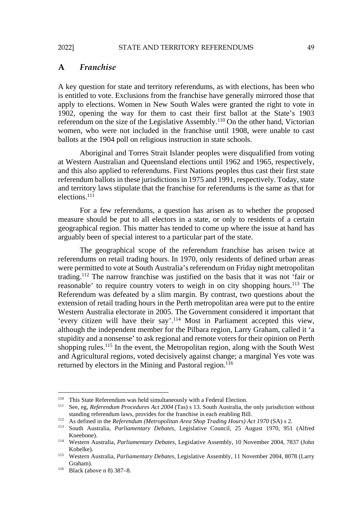#### **A** *Franchise*

A key question for state and territory referendums, as with elections, has been who is entitled to vote. Exclusions from the franchise have generally mirrored those that apply to elections. Women in New South Wales were granted the right to vote in 1902, opening the way for them to cast their first ballot at the State's 1903 referendum on the size of the Legislative Assembly.110 On the other hand, Victorian women, who were not included in the franchise until 1908, were unable to cast ballots at the 1904 poll on religious instruction in state schools.

Aboriginal and Torres Strait Islander peoples were disqualified from voting at Western Australian and Queensland elections until 1962 and 1965, respectively, and this also applied to referendums. First Nations peoples thus cast their first state referendum ballots in these jurisdictions in 1975 and 1991, respectively. Today, state and territory laws stipulate that the franchise for referendums is the same as that for elections.<sup>111</sup>

For a few referendums, a question has arisen as to whether the proposed measure should be put to all electors in a state, or only to residents of a certain geographical region. This matter has tended to come up where the issue at hand has arguably been of special interest to a particular part of the state.

The geographical scope of the referendum franchise has arisen twice at referendums on retail trading hours. In 1970, only residents of defined urban areas were permitted to vote at South Australia's referendum on Friday night metropolitan trading.112 The narrow franchise was justified on the basis that it was not 'fair or reasonable' to require country voters to weigh in on city shopping hours.<sup>113</sup> The Referendum was defeated by a slim margin. By contrast, two questions about the extension of retail trading hours in the Perth metropolitan area were put to the entire Western Australia electorate in 2005. The Government considered it important that 'every citizen will have their say'.114 Most in Parliament accepted this view, although the independent member for the Pilbara region, Larry Graham, called it 'a stupidity and a nonsense' to ask regional and remote voters for their opinion on Perth shopping rules.<sup>115</sup> In the event, the Metropolitan region, along with the South West and Agricultural regions, voted decisively against change; a marginal Yes vote was returned by electors in the Mining and Pastoral region.<sup>116</sup> laws stipulate that the franchise for referendums is the<br>laws stipulate that the franchise for referendums is the<br>ludd be put to all electors in a state, or only to resid<br>legion. This matter has tended to come up where th

<sup>&</sup>lt;sup>110</sup> This State Referendum was held simultaneously with a Federal Election.<br><sup>111</sup> See, eg, *Referendum Procedures Act 2004* (Tas) s 13. South Australia, the only jurisdiction without standing referendum laws, provides for the franchise in each enabling Bill.<br><sup>112</sup> As defined in the *Referendum (Metropolitan Area Shop Trading Hours) Act 1970* (SA) s 2.<br><sup>113</sup> South Australia, *Parliamentary Debates*, Leg

Kneebone). 114 Western Australia, *Parliamentary Debates*, Legislative Assembly, 10 November 2004, 7837 (John

Kobelke). 115 Western Australia, *Parliamentary Debates*, Legislative Assembly, 11 November 2004, 8078 (Larry

Graham). 116 Black (above n 8) 387–8.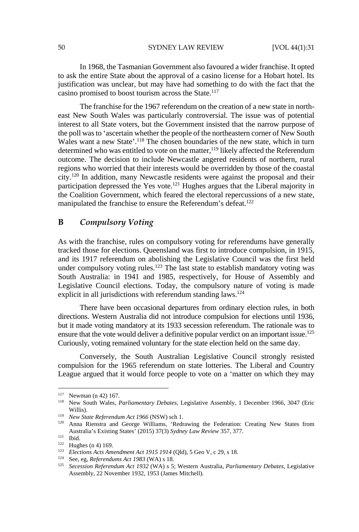In 1968, the Tasmanian Government also favoured a wider franchise. It opted to ask the entire State about the approval of a casino license for a Hobart hotel. Its justification was unclear, but may have had something to do with the fact that the casino promised to boost tourism across the State.117

The franchise for the 1967 referendum on the creation of a new state in northeast New South Wales was particularly controversial. The issue was of potential interest to all State voters, but the Government insisted that the narrow purpose of the poll was to 'ascertain whether the people of the northeastern corner of New South Wales want a new State'.<sup>118</sup> The chosen boundaries of the new state, which in turn determined who was entitled to vote on the matter,<sup>119</sup> likely affected the Referendum outcome. The decision to include Newcastle angered residents of northern, rural regions who worried that their interests would be overridden by those of the coastal city.120 In addition, many Newcastle residents were against the proposal and their participation depressed the Yes vote.121 Hughes argues that the Liberal majority in the Coalition Government, which feared the electoral repercussions of a new state, manipulated the franchise to ensure the Referendum's defeat.<sup>122</sup>

# **B** *Compulsory Voting*

As with the franchise, rules on compulsory voting for referendums have generally tracked those for elections. Queensland was first to introduce compulsion, in 1915, and its 1917 referendum on abolishing the Legislative Council was the first held under compulsory voting rules.<sup>123</sup> The last state to establish mandatory voting was South Australia: in 1941 and 1985, respectively, for House of Assembly and Legislative Council elections. Today, the compulsory nature of voting is made explicit in all jurisdictions with referendum standing laws.<sup>124</sup> depressed the Yes vote.<sup>121</sup> Hughes argues that the Li<br>
1 Government, which feared the electoral repercussion<br>
the franchise to ensure the Referendum's defeat.<sup>122</sup><br> *pulsory Voting*<br>
franchise, rules on compulsory voting

There have been occasional departures from ordinary election rules, in both directions. Western Australia did not introduce compulsion for elections until 1936, but it made voting mandatory at its 1933 secession referendum. The rationale was to ensure that the vote would deliver a definitive popular verdict on an important issue.<sup>125</sup> Curiously, voting remained voluntary for the state election held on the same day.

Conversely, the South Australian Legislative Council strongly resisted compulsion for the 1965 referendum on state lotteries. The Liberal and Country League argued that it would force people to vote on a 'matter on which they may

<sup>117</sup> Newman (n 42) 167. 118 New South Wales, *Parliamentary Debates*, Legislative Assembly, 1 December 1966, 3047 (Eric Willis).<br><sup>119</sup> *New State Referendum Act 1966* (NSW) sch 1.<br><sup>120</sup> Anna Rienstra and George Williams, 'Redrawing the Federation: Creating New States from

Australia's Existing States' (2015) 37(3) Sydney Law Review 357, 377.<br>
<sup>121</sup> Ibid.<br>
<sup>122</sup> Hughes (n 4) 169.<br>
<sup>122</sup> Elections Acts Amendment Act 1915 1914 (Qld), 5 Geo V, c 29, s 18.<br>
<sup>124</sup> See, eg, Referendums Act 1983 (WA

Assembly, 22 November 1932, 1953 (James Mitchell).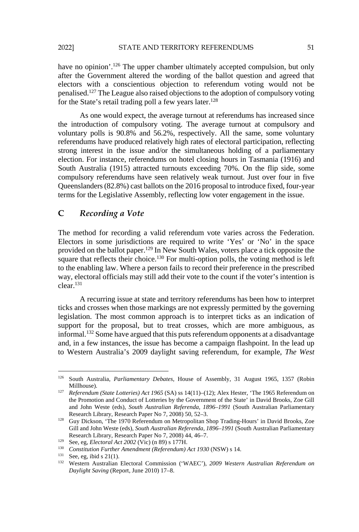have no opinion'.<sup>126</sup> The upper chamber ultimately accepted compulsion, but only after the Government altered the wording of the ballot question and agreed that electors with a conscientious objection to referendum voting would not be penalised.127 The League also raised objections to the adoption of compulsory voting for the State's retail trading poll a few years later.<sup>128</sup>

As one would expect, the average turnout at referendums has increased since the introduction of compulsory voting. The average turnout at compulsory and voluntary polls is 90.8% and 56.2%, respectively. All the same, some voluntary referendums have produced relatively high rates of electoral participation, reflecting strong interest in the issue and/or the simultaneous holding of a parliamentary election. For instance, referendums on hotel closing hours in Tasmania (1916) and South Australia (1915) attracted turnouts exceeding 70%. On the flip side, some compulsory referendums have seen relatively weak turnout. Just over four in five Queenslanders (82.8%) cast ballots on the 2016 proposal to introduce fixed, four-year terms for the Legislative Assembly, reflecting low voter engagement in the issue.

# **C** *Recording a Vote*

The method for recording a valid referendum vote varies across the Federation. Electors in some jurisdictions are required to write 'Yes' or 'No' in the space provided on the ballot paper.<sup>129</sup> In New South Wales, voters place a tick opposite the square that reflects their choice.<sup>130</sup> For multi-option polls, the voting method is left to the enabling law. Where a person fails to record their preference in the prescribed way, electoral officials may still add their vote to the count if the voter's intention is clear.131 ers (82.8%) cast ballots on the 2016 proposal to introduct Legislative Assembly, reflecting low voter engagement ording a Vote<br>for recording a valid referendum vote varies across<br>some jurisdictions are required to write '

A recurring issue at state and territory referendums has been how to interpret ticks and crosses when those markings are not expressly permitted by the governing legislation. The most common approach is to interpret ticks as an indication of support for the proposal, but to treat crosses, which are more ambiguous, as informal.132 Some have argued that this puts referendum opponents at a disadvantage and, in a few instances, the issue has become a campaign flashpoint. In the lead up to Western Australia's 2009 daylight saving referendum, for example, *The West* 

l

<sup>126</sup> South Australia, *Parliamentary Debates*, House of Assembly, 31 August 1965, 1357 (Robin Millhouse). 127 *Referendum (State Lotteries) Act 1965* (SA) ss 14(11)–(12); Alex Hester, 'The 1965 Referendum on

the Promotion and Conduct of Lotteries by the Government of the State' in David Brooks, Zoe Gill and John Weste (eds), *South Australian Referenda, 1896–1991* (South Australian Parliamentary

Research Library, Research Paper No 7, 2008) 50, 52–3.<br><sup>128</sup> Guy Dickson, 'The 1970 Referendum on Metropolitan Shop Trading-Hours' in David Brooks, Zoe Gill and John Weste (eds), *South Australian Referenda, 1896–1991* (South Australian Parliamentary Research Library, Research Paper No 7, 2008) 44, 46–7.<br>
<sup>129</sup> See, eg, *Electoral Act 2002* (Vic) (n 89) s 177H.<br>
<sup>130</sup> Constitution Further Amendment (Referendum) Act 1930 (NSW) s 14.<br>
<sup>131</sup> See, eg, ibid s 21(1).<br>
<sup>132</sup>

*Daylight Saving* (Report, June 2010) 17–8.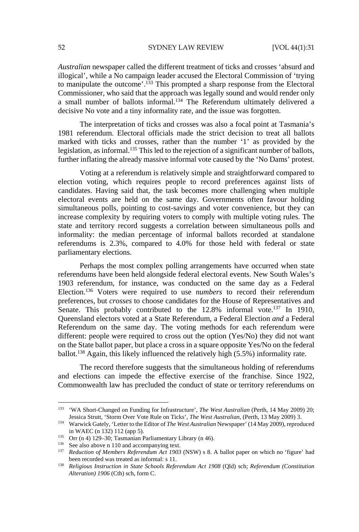*Australian* newspaper called the different treatment of ticks and crosses 'absurd and illogical', while a No campaign leader accused the Electoral Commission of 'trying to manipulate the outcome'.<sup>133</sup> This prompted a sharp response from the Electoral Commissioner, who said that the approach was legally sound and would render only a small number of ballots informal.<sup>134</sup> The Referendum ultimately delivered a decisive No vote and a tiny informality rate, and the issue was forgotten.

The interpretation of ticks and crosses was also a focal point at Tasmania's 1981 referendum. Electoral officials made the strict decision to treat all ballots marked with ticks and crosses, rather than the number '1' as provided by the legislation, as informal.135 This led to the rejection of a significant number of ballots, further inflating the already massive informal vote caused by the 'No Dams' protest.

Voting at a referendum is relatively simple and straightforward compared to election voting, which requires people to record preferences against lists of candidates. Having said that, the task becomes more challenging when multiple electoral events are held on the same day. Governments often favour holding simultaneous polls, pointing to cost-savings and voter convenience, but they can increase complexity by requiring voters to comply with multiple voting rules. The state and territory record suggests a correlation between simultaneous polls and informality: the median percentage of informal ballots recorded at standalone referendums is 2.3%, compared to 4.0% for those held with federal or state parliamentary elections.

Perhaps the most complex polling arrangements have occurred when state referendums have been held alongside federal electoral events. New South Wales's 1903 referendum, for instance, was conducted on the same day as a Federal Election.136 Voters were required to use *numbers* to record their referendum preferences, but *crosses* to choose candidates for the House of Representatives and Senate. This probably contributed to the 12.8% informal vote.<sup>137</sup> In 1910, Queensland electors voted at a State Referendum, a Federal Election *and* a Federal Referendum on the same day. The voting methods for each referendum were different: people were required to cross out the option (Yes/No) they did not want on the State ballot paper, but place a cross in a square opposite Yes/No on the federal ballot.138 Again, this likely influenced the relatively high (5.5%) informality rate. Ing, winch requires people to record preferences<br>Having said that, the task becomes more challengin<br>ents are held on the same day. Governments ofter<br>s polls, pointing to cost-savings and voter convenier<br>oplexity by requir

The record therefore suggests that the simultaneous holding of referendums and elections can impede the effective exercise of the franchise. Since 1922, Commonwealth law has precluded the conduct of state or territory referendums on

<sup>133 &#</sup>x27;WA Short-Changed on Funding for Infrastructure', *The West Australian* (Perth, 14 May 2009) 20; Jessica Strutt, 'Storm Over Vote Rule on Ticks', *The West Australian*, (Perth, 13 May 2009) 3. 134 Warwick Gately, 'Letter to the Editor of *The West Australian* Newspaper' (14 May 2009), reproduced

in WAEC (n 132) 112 (app 5).<br>
<sup>135</sup> Orr (n 4) 129–30; Tasmanian Parliamentary Library (n 46).<br>
<sup>136</sup> See also above n 110 and accompanying text.<br>
<sup>136</sup> Reduction of Members Referendum Act 1903 (NSW) s 8. A ballot paper on

been recorded was treated as informal: s 11.<br><sup>138</sup> *Religious Instruction in State Schools Referendum Act 1908* (Qld) sch; *Referendum (Constitution* 

*Alteration) 1906* (Cth) sch, form C.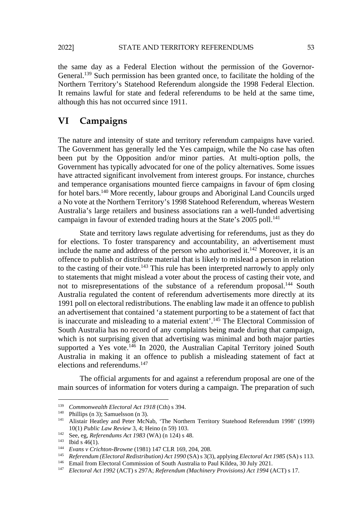the same day as a Federal Election without the permission of the Governor-General.139 Such permission has been granted once, to facilitate the holding of the Northern Territory's Statehood Referendum alongside the 1998 Federal Election. It remains lawful for state and federal referendums to be held at the same time, although this has not occurred since 1911.

# **VI Campaigns**

The nature and intensity of state and territory referendum campaigns have varied. The Government has generally led the Yes campaign, while the No case has often been put by the Opposition and/or minor parties. At multi-option polls, the Government has typically advocated for one of the policy alternatives. Some issues have attracted significant involvement from interest groups. For instance, churches and temperance organisations mounted fierce campaigns in favour of 6pm closing for hotel bars.140 More recently, labour groups and Aboriginal Land Councils urged a No vote at the Northern Territory's 1998 Statehood Referendum, whereas Western Australia's large retailers and business associations ran a well-funded advertising campaign in favour of extended trading hours at the State's 2005 poll.<sup>141</sup>

State and territory laws regulate advertising for referendums, just as they do for elections. To foster transparency and accountability, an advertisement must include the name and address of the person who authorised it.<sup>142</sup> Moreover, it is an offence to publish or distribute material that is likely to mislead a person in relation to the casting of their vote.<sup>143</sup> This rule has been interpreted narrowly to apply only to statements that might mislead a voter about the process of casting their vote, and not to misrepresentations of the substance of a referendum proposal.144 South Australia regulated the content of referendum advertisements more directly at its 1991 poll on electoral redistributions. The enabling law made it an offence to publish an advertisement that contained 'a statement purporting to be a statement of fact that is inaccurate and misleading to a material extent'.145 The Electoral Commission of South Australia has no record of any complaints being made during that campaign, which is not surprising given that advertising was minimal and both major parties supported a Yes vote.<sup>146</sup> In 2020, the Australian Capital Territory joined South Australia in making it an offence to publish a misleading statement of fact at elections and referendums.<sup>147</sup> nce organisations mounted fierce campaigns in favou<br>s.<sup>140</sup> More recently, labour groups and Aboriginal Lan<br>the Northern Territory's 1998 Statehood Referendum,<br>arge retailers and business associations ran a well-fu<br>favour

The official arguments for and against a referendum proposal are one of the main sources of information for voters during a campaign. The preparation of such

l

<sup>&</sup>lt;sup>139</sup> *Commonwealth Electoral Act 1918* (Cth) s 394.<br><sup>140</sup> Phillips (n 3); Samuelsson (n 3).<br><sup>141</sup> Alistair Heatley and Peter McNab, 'The Northern Territory Statehood Referendum 1998' (1999) 10(1) Public Law Review 3, 4; Heino (n 59) 103.<br>
<sup>142</sup> See, eg, *Referendums Act 1983* (WA) (n 124) s 48.<br>
<sup>143</sup> Evans v Crichton-Browne (1981) 147 CLR 169, 204, 208.<br> *Referendum (Electoral Redistribution) Act 1990* (SA)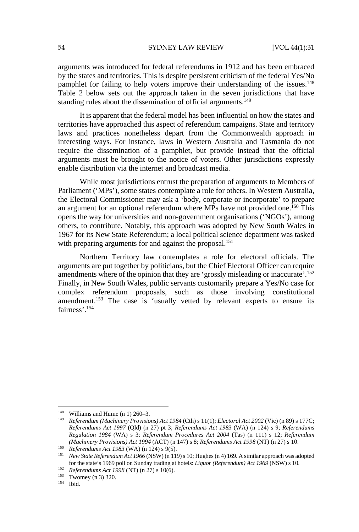arguments was introduced for federal referendums in 1912 and has been embraced by the states and territories. This is despite persistent criticism of the federal Yes/No pamphlet for failing to help voters improve their understanding of the issues.<sup>148</sup> Table 2 below sets out the approach taken in the seven jurisdictions that have standing rules about the dissemination of official arguments.<sup>149</sup>

It is apparent that the federal model has been influential on how the states and territories have approached this aspect of referendum campaigns. State and territory laws and practices nonetheless depart from the Commonwealth approach in interesting ways. For instance, laws in Western Australia and Tasmania do not require the dissemination of a pamphlet, but provide instead that the official arguments must be brought to the notice of voters. Other jurisdictions expressly enable distribution via the internet and broadcast media.

While most jurisdictions entrust the preparation of arguments to Members of Parliament ('MPs'), some states contemplate a role for others. In Western Australia, the Electoral Commissioner may ask a 'body, corporate or incorporate' to prepare an argument for an optional referendum where MPs have not provided one.150 This opens the way for universities and non-government organisations ('NGOs'), among others, to contribute. Notably, this approach was adopted by New South Wales in 1967 for its New State Referendum; a local political science department was tasked with preparing arguments for and against the proposal.<sup>151</sup> E most junisations entrust the preparation of argument MPs'), some states contemplate a role for others. In W<br>Commissioner may ask a 'body, corporate or incorp<br>for an optional referendum where MPs have not prove<br>y for univ

Northern Territory law contemplates a role for electoral officials. The arguments are put together by politicians, but the Chief Electoral Officer can require amendments where of the opinion that they are 'grossly misleading or inaccurate'.152 Finally, in New South Wales, public servants customarily prepare a Yes/No case for complex referendum proposals, such as those involving constitutional amendment.<sup>153</sup> The case is 'usually vetted by relevant experts to ensure its fairness'.<sup>154</sup>

<sup>&</sup>lt;sup>148</sup> Williams and Hume (n 1) 260–3.<br><sup>149</sup> *Referendum (Machinery Provisions) Act 1984* (Cth) s 11(1); *Electoral Act 2002* (Vic) (n 89) s 177C; *Referendums Act 1997* (Qld) (n 27) pt 3; *Referendums Act 1983* (WA) (n 124) s 9; *Referendums Regulation 1984* (WA) s 3; *Referendum Procedures Act 2004* (Tas) (n 111) s 12; *Referendum*  (Machinery Provisions) Act 1994 (ACT) (n 147) s 8; Referendums Act 1998 (NT) (n 27) s 10.<br>
<sup>150</sup> Referendums Act 1983 (WA) (n 124) s 9(5).<br>
<sup>151</sup> New State Referendum Act 1966 (NSW) (n 119) s 10; Hughes (n 4) 169. A simil

for the state's 1969 poll on Sunday trading at hotels: *Liquor (Referendum) Act 1969* (NSW) s 10.<br>
<sup>152</sup> *Referendums Act 1998* (NT) (n 27) s 10(6).<br>
<sup>153</sup> Twomey (n 3) 320.<br>
<sup>154</sup> Ibid.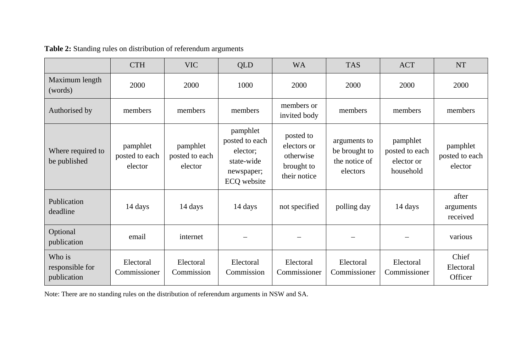|                                          | <b>CTH</b>                            | <b>VIC</b>                            | <b>QLD</b>                                                                        | <b>WA</b>                                                           | <b>TAS</b>                                                 | <b>ACT</b>                                            | <b>NT</b>                             |
|------------------------------------------|---------------------------------------|---------------------------------------|-----------------------------------------------------------------------------------|---------------------------------------------------------------------|------------------------------------------------------------|-------------------------------------------------------|---------------------------------------|
| Maximum length<br>(words)                | 2000                                  | 2000                                  | 1000                                                                              | 2000                                                                | 2000                                                       | 2000                                                  | 2000                                  |
| Authorised by                            | members                               | members                               | members                                                                           | members or<br>invited body                                          | members                                                    | members                                               | members                               |
| Where required to<br>be published        | pamphlet<br>posted to each<br>elector | pamphlet<br>posted to each<br>elector | pamphlet<br>posted to each<br>elector;<br>state-wide<br>newspaper;<br>ECQ website | posted to<br>electors or<br>otherwise<br>brought to<br>their notice | arguments to<br>be brought to<br>the notice of<br>electors | pamphlet<br>posted to each<br>elector or<br>household | pamphlet<br>posted to each<br>elector |
| Publication<br>deadline                  | 14 days                               | 14 days                               | 14 days                                                                           | not specified                                                       | polling day                                                | 14 days                                               | after<br>arguments<br>received        |
| Optional<br>publication                  | email                                 | internet                              |                                                                                   |                                                                     |                                                            |                                                       | various                               |
| Who is<br>responsible for<br>publication | Electoral<br>Commissioner             | Electoral<br>Commission               | Electoral<br>Commission                                                           | Electoral<br>Commissioner                                           | Electoral<br>Commissioner                                  | Electoral<br>Commissioner                             | Chief<br>Electoral<br>Officer         |

**Table 2:** Standing rules on distribution of referendum arguments

Note: There are no standing rules on the distribution of referendum arguments in NSW and SA.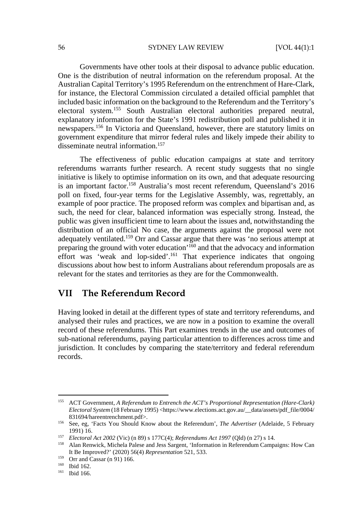Governments have other tools at their disposal to advance public education. One is the distribution of neutral information on the referendum proposal. At the Australian Capital Territory's 1995 Referendum on the entrenchment of Hare-Clark, for instance, the Electoral Commission circulated a detailed official pamphlet that included basic information on the background to the Referendum and the Territory's electoral system.155 South Australian electoral authorities prepared neutral, explanatory information for the State's 1991 redistribution poll and published it in newspapers.156 In Victoria and Queensland, however, there are statutory limits on government expenditure that mirror federal rules and likely impede their ability to disseminate neutral information.157

The effectiveness of public education campaigns at state and territory referendums warrants further research. A recent study suggests that no single initiative is likely to optimise information on its own, and that adequate resourcing is an important factor.<sup>158</sup> Australia's most recent referendum, Queensland's 2016 poll on fixed, four-year terms for the Legislative Assembly, was, regrettably, an example of poor practice. The proposed reform was complex and bipartisan and, as such, the need for clear, balanced information was especially strong. Instead, the public was given insufficient time to learn about the issues and, notwithstanding the distribution of an official No case, the arguments against the proposal were not adequately ventilated.159 Orr and Cassar argue that there was 'no serious attempt at preparing the ground with voter education'160 and that the advocacy and information effort was 'weak and lop-sided'.161 That experience indicates that ongoing discussions about how best to inform Australians about referendum proposals are as relevant for the states and territories as they are for the Commonwealth. ant factor.<sup>158</sup> Australia's most recent referendum, Qu<br>d, four-year terms for the Legislative Assembly, was<br>ooor practice. The proposed reform was complex and led for clear, balanced information was especially str<br>iven in

# **VII The Referendum Record**

Having looked in detail at the different types of state and territory referendums, and analysed their rules and practices, we are now in a position to examine the overall record of these referendums. This Part examines trends in the use and outcomes of sub-national referendums, paying particular attention to differences across time and jurisdiction. It concludes by comparing the state/territory and federal referendum records.

<sup>155</sup> ACT Government, *A Referendum to Entrench the ACT's Proportional Representation (Hare-Clark) Electoral System* (18 February 1995) <https://www.elections.act.gov.au/\_\_data/assets/pdf\_file/0004/ 831694/hareentrenchment.pdf>. 156 See, eg, 'Facts You Should Know about the Referendum', *The Advertiser* (Adelaide, 5 February

<sup>1991) 16. 157</sup> *Electoral Act 2002* (Vic) (n 89) s 177C(4); *Referendums Act 1997* (Qld) (n 27) s 14. 158 Alan Renwick, Michela Palese and Jess Sargent, 'Information in Referendum Campaigns: How Can

It Be Improved?' (2020) 56(4) *Representation* 521, 533. 159 Orr and Cassar (n 91) 166. 160 Ibid 162. 161 Ibid 166.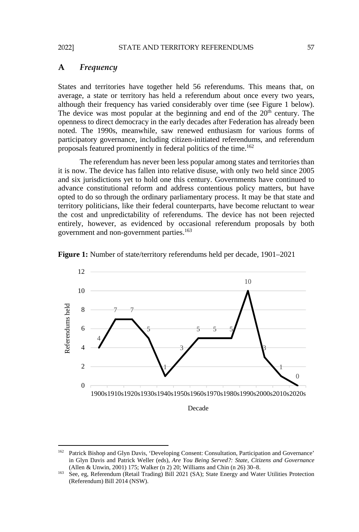#### **A** *Frequency*

States and territories have together held 56 referendums. This means that, on average, a state or territory has held a referendum about once every two years, although their frequency has varied considerably over time (see Figure 1 below). The device was most popular at the beginning and end of the  $20<sup>th</sup>$  century. The openness to direct democracy in the early decades after Federation has already been noted. The 1990s, meanwhile, saw renewed enthusiasm for various forms of participatory governance, including citizen-initiated referendums, and referendum proposals featured prominently in federal politics of the time.162

The referendum has never been less popular among states and territories than it is now. The device has fallen into relative disuse, with only two held since 2005 and six jurisdictions yet to hold one this century. Governments have continued to advance constitutional reform and address contentious policy matters, but have opted to do so through the ordinary parliamentary process. It may be that state and territory politicians, like their federal counterparts, have become reluctant to wear the cost and unpredictability of referendums. The device has not been rejected entirely, however, as evidenced by occasional referendum proposals by both government and non-government parties.163



**Figure 1:** Number of state/territory referendums held per decade, 1901–2021

<sup>162</sup> Patrick Bishop and Glyn Davis, 'Developing Consent: Consultation, Participation and Governance' in Glyn Davis and Patrick Weller (eds), *Are You Being Served?: State, Citizens and Governance* (Allen & Unwin, 2001) 175; Walker (n 2) 20; Williams and Chin (n 26) 30–8. 163 See, eg, Referendum (Retail Trading) Bill 2021 (SA); State Energy and Water Utilities Protection

<sup>(</sup>Referendum) Bill 2014 (NSW).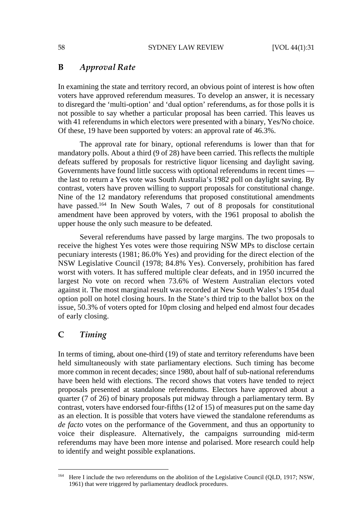#### **B** *Approval Rate*

In examining the state and territory record, an obvious point of interest is how often voters have approved referendum measures. To develop an answer, it is necessary to disregard the 'multi-option' and 'dual option' referendums, as for those polls it is not possible to say whether a particular proposal has been carried. This leaves us with 41 referendums in which electors were presented with a binary, Yes/No choice. Of these, 19 have been supported by voters: an approval rate of 46.3%.

The approval rate for binary, optional referendums is lower than that for mandatory polls. About a third (9 of 28) have been carried. This reflects the multiple defeats suffered by proposals for restrictive liquor licensing and daylight saving. Governments have found little success with optional referendums in recent times the last to return a Yes vote was South Australia's 1982 poll on daylight saving. By contrast, voters have proven willing to support proposals for constitutional change. Nine of the 12 mandatory referendums that proposed constitutional amendments have passed.<sup>164</sup> In New South Wales, 7 out of 8 proposals for constitutional amendment have been approved by voters, with the 1961 proposal to abolish the upper house the only such measure to be defeated.

Several referendums have passed by large margins. The two proposals to receive the highest Yes votes were those requiring NSW MPs to disclose certain pecuniary interests (1981; 86.0% Yes) and providing for the direct election of the NSW Legislative Council (1978; 84.8% Yes). Conversely, prohibition has fared worst with voters. It has suffered multiple clear defeats, and in 1950 incurred the largest No vote on record when 73.6% of Western Australian electors voted against it. The most marginal result was recorded at New South Wales's 1954 dual option poll on hotel closing hours. In the State's third trip to the ballot box on the issue, 50.3% of voters opted for 10pm closing and helped end almost four decades of early closing. ers have proven willing to support proposals for constrained and the sers have proven willing to support proposals for constitution.<sup>1,164</sup> In New South Wales, 7 out of 8 proposals for constitution.<sup>1,164</sup> In New South Wal

### **C** *Timing*

l

In terms of timing, about one-third (19) of state and territory referendums have been held simultaneously with state parliamentary elections. Such timing has become more common in recent decades; since 1980, about half of sub-national referendums have been held with elections. The record shows that voters have tended to reject proposals presented at standalone referendums. Electors have approved about a quarter (7 of 26) of binary proposals put midway through a parliamentary term. By contrast, voters have endorsed four-fifths (12 of 15) of measures put on the same day as an election. It is possible that voters have viewed the standalone referendums as *de facto* votes on the performance of the Government, and thus an opportunity to voice their displeasure. Alternatively, the campaigns surrounding mid-term referendums may have been more intense and polarised. More research could help to identify and weight possible explanations.

<sup>164</sup> Here I include the two referendums on the abolition of the Legislative Council (QLD, 1917; NSW, 1961) that were triggered by parliamentary deadlock procedures.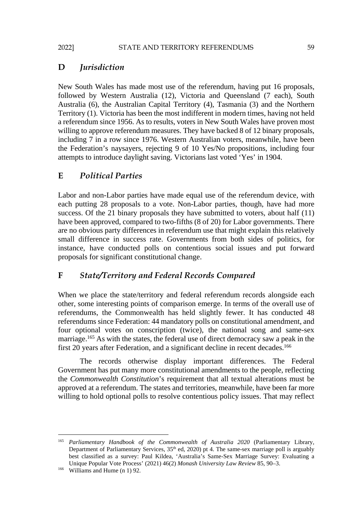# **D** *Jurisdiction*

New South Wales has made most use of the referendum, having put 16 proposals, followed by Western Australia (12), Victoria and Queensland (7 each), South Australia (6), the Australian Capital Territory (4), Tasmania (3) and the Northern Territory (1). Victoria has been the most indifferent in modern times, having not held a referendum since 1956. As to results, voters in New South Wales have proven most willing to approve referendum measures. They have backed 8 of 12 binary proposals, including 7 in a row since 1976. Western Australian voters, meanwhile, have been the Federation's naysayers, rejecting 9 of 10 Yes/No propositions, including four attempts to introduce daylight saving. Victorians last voted 'Yes' in 1904.

### **E** *Political Parties*

Labor and non-Labor parties have made equal use of the referendum device, with each putting 28 proposals to a vote. Non-Labor parties, though, have had more success. Of the 21 binary proposals they have submitted to voters, about half (11) have been approved, compared to two-fifths (8 of 20) for Labor governments. There are no obvious party differences in referendum use that might explain this relatively small difference in success rate. Governments from both sides of politics, for instance, have conducted polls on contentious social issues and put forward proposals for significant constitutional change. on-Labor parties have made equal use of the referencest (28 proposals to a vote. Non-Labor parties, though<br>the 21 binary proposals they have submitted to voters<br>proved, compared to two-fifths (8 of 20) for Labor go<br>us part

### **F** *State/Territory and Federal Records Compared*

When we place the state/territory and federal referendum records alongside each other, some interesting points of comparison emerge. In terms of the overall use of referendums, the Commonwealth has held slightly fewer. It has conducted 48 referendums since Federation: 44 mandatory polls on constitutional amendment, and four optional votes on conscription (twice), the national song and same-sex marriage.<sup>165</sup> As with the states, the federal use of direct democracy saw a peak in the first 20 years after Federation, and a significant decline in recent decades.<sup>166</sup>

The records otherwise display important differences. The Federal Government has put many more constitutional amendments to the people, reflecting the *Commonwealth Constitution*'s requirement that all textual alterations must be approved at a referendum. The states and territories, meanwhile, have been far more willing to hold optional polls to resolve contentious policy issues. That may reflect

<sup>165</sup> *Parliamentary Handbook of the Commonwealth of Australia 2020* (Parliamentary Library, Department of Parliamentary Services,  $35<sup>th</sup>$  ed,  $2020$ ) pt 4. The same-sex marriage poll is arguably best classified as a survey: Paul Kildea, 'Australia's Same-Sex Marriage Survey: Evaluating a Unique Popular Vote Process' (2021) 46(2) *Monash University Law Review* 85, 90–3. 166 Williams and Hume (n 1) 92.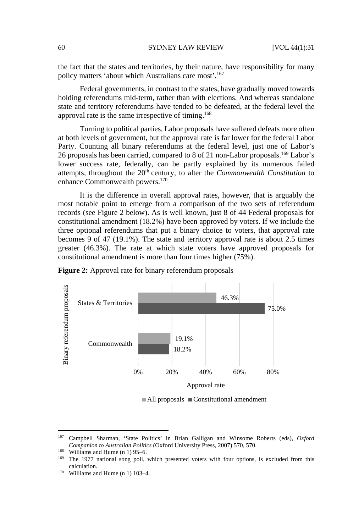the fact that the states and territories, by their nature, have responsibility for many policy matters 'about which Australians care most'.167

Federal governments, in contrast to the states, have gradually moved towards holding referendums mid-term, rather than with elections. And whereas standalone state and territory referendums have tended to be defeated, at the federal level the approval rate is the same irrespective of timing.168

Turning to political parties, Labor proposals have suffered defeats more often at both levels of government, but the approval rate is far lower for the federal Labor Party. Counting all binary referendums at the federal level, just one of Labor's 26 proposals has been carried, compared to 8 of 21 non-Labor proposals.169 Labor's lower success rate, federally, can be partly explained by its numerous failed attempts, throughout the 20<sup>th</sup> century, to alter the *Commonwealth Constitution* to enhance Commonwealth powers.170

It is the difference in overall approval rates, however, that is arguably the most notable point to emerge from a comparison of the two sets of referendum records (see Figure 2 below). As is well known, just 8 of 44 Federal proposals for constitutional amendment (18.2%) have been approved by voters. If we include the three optional referendums that put a binary choice to voters, that approval rate becomes 9 of 47 (19.1%). The state and territory approval rate is about 2.5 times greater (46.3%). The rate at which state voters have approved proposals for constitutional amendment is more than four times higher (75%).



**Figure 2:** Approval rate for binary referendum proposals

 $\blacksquare$  All proposals  $\blacksquare$  Constitutional amendment

<sup>167</sup> 167 Campbell Sharman, 'State Politics' in Brian Galligan and Winsome Roberts (eds), *Oxford Companion to Australian Politics* (Oxford University Press, 2007) 570, 570.<br><sup>168</sup> Williams and Hume (n 1) 95–6.<br><sup>169</sup> The 1977 national song poll, which presented voters with four options, is excluded from this

calculation.<br>
<sup>170</sup> Williams and Hume (n 1) 103–4.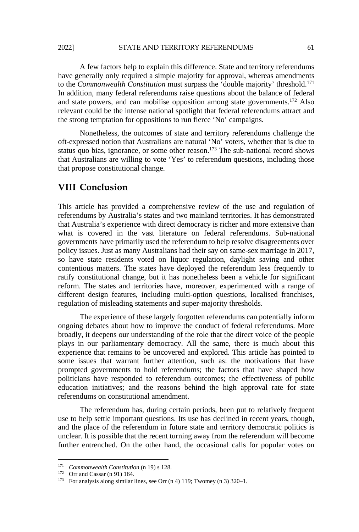A few factors help to explain this difference. State and territory referendums have generally only required a simple majority for approval, whereas amendments to the *Commonwealth Constitution* must surpass the 'double majority' threshold.171 In addition, many federal referendums raise questions about the balance of federal and state powers, and can mobilise opposition among state governments.<sup>172</sup> Also relevant could be the intense national spotlight that federal referendums attract and the strong temptation for oppositions to run fierce 'No' campaigns.

Nonetheless, the outcomes of state and territory referendums challenge the oft-expressed notion that Australians are natural 'No' voters, whether that is due to status quo bias, ignorance, or some other reason.<sup>173</sup> The sub-national record shows that Australians are willing to vote 'Yes' to referendum questions, including those that propose constitutional change.

# **VIII Conclusion**

This article has provided a comprehensive review of the use and regulation of referendums by Australia's states and two mainland territories. It has demonstrated that Australia's experience with direct democracy is richer and more extensive than what is covered in the vast literature on federal referendums. Sub-national governments have primarily used the referendum to help resolve disagreements over policy issues. Just as many Australians had their say on same-sex marriage in 2017, so have state residents voted on liquor regulation, daylight saving and other contentious matters. The states have deployed the referendum less frequently to ratify constitutional change, but it has nonetheless been a vehicle for significant reform. The states and territories have, moreover, experimented with a range of different design features, including multi-option questions, localised franchises, regulation of misleading statements and super-majority thresholds. **Clusion**<br>
has provided a comprehensive review of the use a<br>
by Australia's states and two mainland territories. It la's<br>
a's experience with direct democracy is richer and mo<br>
vered in the vast literature on federal refer

The experience of these largely forgotten referendums can potentially inform ongoing debates about how to improve the conduct of federal referendums. More broadly, it deepens our understanding of the role that the direct voice of the people plays in our parliamentary democracy. All the same, there is much about this experience that remains to be uncovered and explored. This article has pointed to some issues that warrant further attention, such as: the motivations that have prompted governments to hold referendums; the factors that have shaped how politicians have responded to referendum outcomes; the effectiveness of public education initiatives; and the reasons behind the high approval rate for state referendums on constitutional amendment.

The referendum has, during certain periods, been put to relatively frequent use to help settle important questions. Its use has declined in recent years, though, and the place of the referendum in future state and territory democratic politics is unclear. It is possible that the recent turning away from the referendum will become further entrenched. On the other hand, the occasional calls for popular votes on

<sup>&</sup>lt;sup>171</sup> *Commonwealth Constitution* (n 19) s 128.<br><sup>172</sup> Orr and Cassar (n 91) 164.<br><sup>173</sup> For analysis along similar lines, see Orr (n 4) 119; Twomey (n 3) 320–1.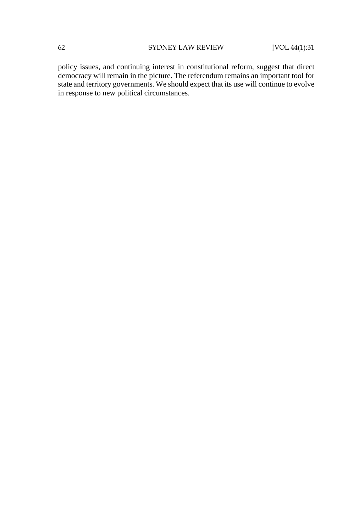policy issues, and continuing interest in constitutional reform, suggest that direct democracy will remain in the picture. The referendum remains an important tool for state and territory governments. We should expect that its use will continue to evolve in response to new political circumstances.

**MANCER**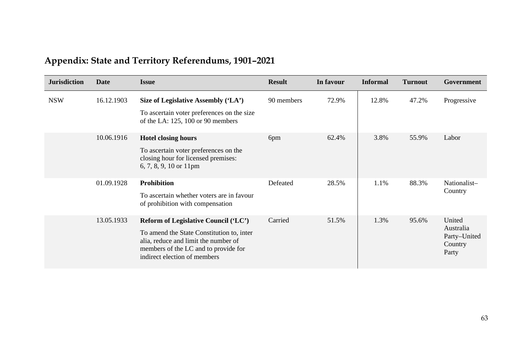| <b>Jurisdiction</b> | Date       | <b>Issue</b>                                                                                                                                                                                      | <b>Result</b> | In favour | <b>Informal</b> | <b>Turnout</b> | Government                                              |
|---------------------|------------|---------------------------------------------------------------------------------------------------------------------------------------------------------------------------------------------------|---------------|-----------|-----------------|----------------|---------------------------------------------------------|
| <b>NSW</b>          | 16.12.1903 | Size of Legislative Assembly ('LA')<br>To ascertain voter preferences on the size<br>of the LA: 125, 100 or 90 members                                                                            | 90 members    | 72.9%     | 12.8%           | 47.2%          | Progressive                                             |
|                     | 10.06.1916 | <b>Hotel closing hours</b><br>To ascertain voter preferences on the<br>closing hour for licensed premises:<br>6, 7, 8, 9, 10 or 11pm                                                              | 6pm           | 62.4%     | 3.8%            | 55.9%          | Labor                                                   |
|                     | 01.09.1928 | <b>Prohibition</b><br>To ascertain whether voters are in favour<br>of prohibition with compensation                                                                                               | Defeated      | 28.5%     | 1.1%            | 88.3%          | Nationalist-<br>Country                                 |
|                     | 13.05.1933 | Reform of Legislative Council ('LC')<br>To amend the State Constitution to, inter<br>alia, reduce and limit the number of<br>members of the LC and to provide for<br>indirect election of members | Carried       | 51.5%     | 1.3%            | 95.6%          | United<br>Australia<br>Party-United<br>Country<br>Party |

# **Appendix: State and Territory Referendums, 1901–2021**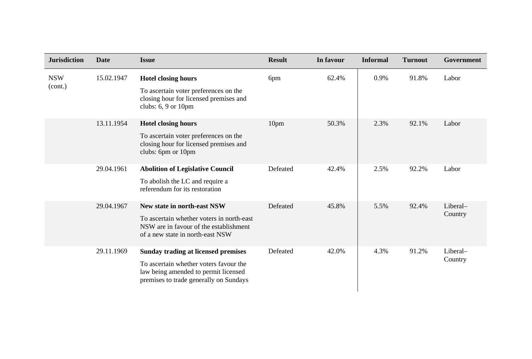| <b>Jurisdiction</b>   | <b>Date</b> | <b>Issue</b>                                                                                                                                                    | <b>Result</b> | In favour | <b>Informal</b> | <b>Turnout</b> | Government          |
|-----------------------|-------------|-----------------------------------------------------------------------------------------------------------------------------------------------------------------|---------------|-----------|-----------------|----------------|---------------------|
| <b>NSW</b><br>(cont.) | 15.02.1947  | <b>Hotel closing hours</b><br>To ascertain voter preferences on the<br>closing hour for licensed premises and<br>clubs: 6, 9 or 10pm                            | 6pm           | 62.4%     | 0.9%            | 91.8%          | Labor               |
|                       | 13.11.1954  | <b>Hotel closing hours</b><br>To ascertain voter preferences on the<br>closing hour for licensed premises and<br>clubs: 6pm or 10pm                             | 10pm          | 50.3%     | 2.3%            | 92.1%          | Labor               |
|                       | 29.04.1961  | <b>Abolition of Legislative Council</b><br>To abolish the LC and require a<br>referendum for its restoration                                                    | Defeated      | 42.4%     | 2.5%            | 92.2%          | Labor               |
|                       | 29.04.1967  | New state in north-east NSW<br>To ascertain whether voters in north-east<br>NSW are in favour of the establishment<br>of a new state in north-east NSW          | Defeated      | 45.8%     | 5.5%            | 92.4%          | Liberal-<br>Country |
|                       | 29.11.1969  | Sunday trading at licensed premises<br>To ascertain whether voters favour the<br>law being amended to permit licensed<br>premises to trade generally on Sundays | Defeated      | 42.0%     | 4.3%            | 91.2%          | Liberal-<br>Country |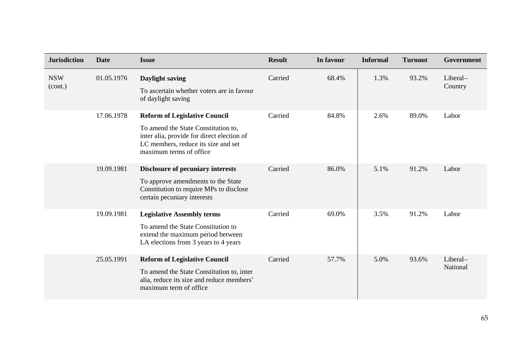| <b>Jurisdiction</b>   | <b>Date</b> | <b>Issue</b>                                                                                                                                                                                | <b>Result</b> | In favour | <b>Informal</b> | <b>Turnout</b> | Government           |
|-----------------------|-------------|---------------------------------------------------------------------------------------------------------------------------------------------------------------------------------------------|---------------|-----------|-----------------|----------------|----------------------|
| <b>NSW</b><br>(cont.) | 01.05.1976  | Daylight saving<br>To ascertain whether voters are in favour<br>of daylight saving                                                                                                          | Carried       | 68.4%     | 1.3%            | 93.2%          | Liberal-<br>Country  |
|                       | 17.06.1978  | <b>Reform of Legislative Council</b><br>To amend the State Constitution to,<br>inter alia, provide for direct election of<br>LC members, reduce its size and set<br>maximum terms of office | Carried       | 84.8%     | 2.6%            | 89.0%          | Labor                |
|                       | 19.09.1981  | Disclosure of pecuniary interests<br>To approve amendments to the State<br>Constitution to require MPs to disclose<br>certain pecuniary interests                                           | Carried       | 86.0%     | 5.1%            | 91.2%          | Labor                |
|                       | 19.09.1981  | <b>Legislative Assembly terms</b><br>To amend the State Constitution to<br>extend the maximum period between<br>LA elections from 3 years to 4 years                                        | Carried       | 69.0%     | 3.5%            | 91.2%          | Labor                |
|                       | 25.05.1991  | <b>Reform of Legislative Council</b><br>To amend the State Constitution to, inter<br>alia, reduce its size and reduce members'<br>maximum term of office                                    | Carried       | 57.7%     | 5.0%            | 93.6%          | Liberal-<br>National |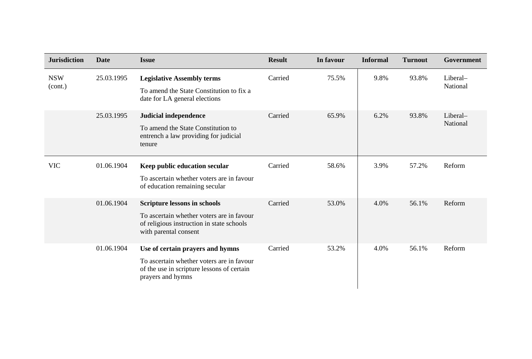| <b>Jurisdiction</b>   | <b>Date</b> | <b>Issue</b>                                                                                                                                           | <b>Result</b> | In favour | <b>Informal</b> | <b>Turnout</b> | Government           |
|-----------------------|-------------|--------------------------------------------------------------------------------------------------------------------------------------------------------|---------------|-----------|-----------------|----------------|----------------------|
| <b>NSW</b><br>(cont.) | 25.03.1995  | <b>Legislative Assembly terms</b><br>To amend the State Constitution to fix a<br>date for LA general elections                                         | Carried       | 75.5%     | 9.8%            | 93.8%          | Liberal-<br>National |
|                       | 25.03.1995  | Judicial independence<br>To amend the State Constitution to<br>entrench a law providing for judicial<br>tenure                                         | Carried       | 65.9%     | 6.2%            | 93.8%          | Liberal-<br>National |
| <b>VIC</b>            | 01.06.1904  | Keep public education secular<br>To ascertain whether voters are in favour<br>of education remaining secular                                           | Carried       | 58.6%     | 3.9%            | 57.2%          | Reform               |
|                       | 01.06.1904  | <b>Scripture lessons in schools</b><br>To ascertain whether voters are in favour<br>of religious instruction in state schools<br>with parental consent | Carried       | 53.0%     | 4.0%            | 56.1%          | Reform               |
|                       | 01.06.1904  | Use of certain prayers and hymns<br>To ascertain whether voters are in favour<br>of the use in scripture lessons of certain<br>prayers and hymns       | Carried       | 53.2%     | 4.0%            | 56.1%          | Reform               |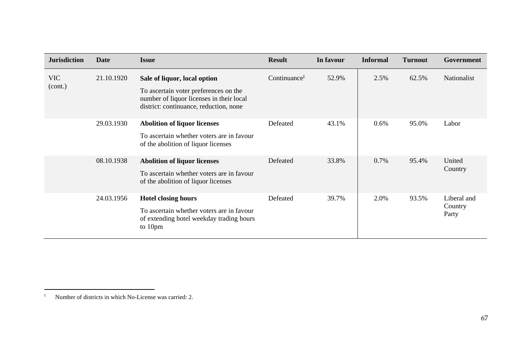| <b>Jurisdiction</b>   | Date       | <b>Issue</b>                                                                                                                                                | <b>Result</b>            | In favour | <b>Informal</b> | <b>Turnout</b> | Government                      |
|-----------------------|------------|-------------------------------------------------------------------------------------------------------------------------------------------------------------|--------------------------|-----------|-----------------|----------------|---------------------------------|
| <b>VIC</b><br>(cont.) | 21.10.1920 | Sale of liquor, local option<br>To ascertain voter preferences on the<br>number of liquor licenses in their local<br>district: continuance, reduction, none | Continuance <sup>I</sup> | 52.9%     | 2.5%            | 62.5%          | Nationalist                     |
|                       | 29.03.1930 | Abolition of liquor licenses<br>To ascertain whether voters are in favour<br>of the abolition of liquor licenses                                            | Defeated                 | 43.1%     | $0.6\%$         | 95.0%          | Labor                           |
|                       | 08.10.1938 | <b>Abolition of liquor licenses</b><br>To ascertain whether voters are in favour<br>of the abolition of liquor licenses                                     | Defeated                 | 33.8%     | 0.7%            | 95.4%          | United<br>Country               |
|                       | 24.03.1956 | <b>Hotel closing hours</b><br>To ascertain whether voters are in favour<br>of extending hotel weekday trading hours<br>to 10pm                              | Defeated                 | 39.7%     | 2.0%            | 93.5%          | Liberal and<br>Country<br>Party |

<sup>&</sup>lt;sup>I</sup> Number of districts in which No-License was carried: 2.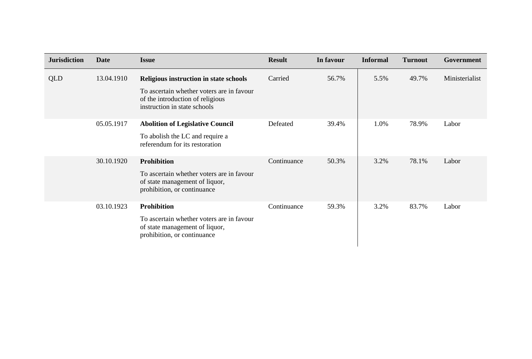| <b>Jurisdiction</b> | <b>Date</b> | <b>Issue</b>                                                                                                  | <b>Result</b> | In favour | <b>Informal</b> | <b>Turnout</b> | Government     |
|---------------------|-------------|---------------------------------------------------------------------------------------------------------------|---------------|-----------|-----------------|----------------|----------------|
| QLD                 | 13.04.1910  | Religious instruction in state schools                                                                        | Carried       | 56.7%     | 5.5%            | 49.7%          | Ministerialist |
|                     |             | To ascertain whether voters are in favour<br>of the introduction of religious<br>instruction in state schools |               |           |                 |                |                |
|                     | 05.05.1917  | <b>Abolition of Legislative Council</b>                                                                       | Defeated      | 39.4%     | 1.0%            | 78.9%          | Labor          |
|                     |             | To abolish the LC and require a<br>referendum for its restoration                                             |               |           |                 |                |                |
|                     | 30.10.1920  | <b>Prohibition</b>                                                                                            | Continuance   | 50.3%     | 3.2%            | 78.1%          | Labor          |
|                     |             | To ascertain whether voters are in favour<br>of state management of liquor,<br>prohibition, or continuance    |               |           |                 |                |                |
|                     | 03.10.1923  | <b>Prohibition</b>                                                                                            | Continuance   | 59.3%     | 3.2%            | 83.7%          | Labor          |
|                     |             | To ascertain whether voters are in favour<br>of state management of liquor,<br>prohibition, or continuance    |               |           |                 |                |                |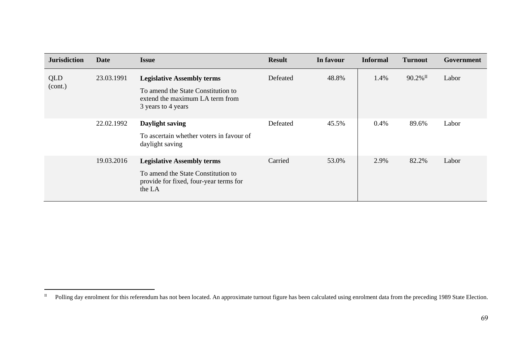| <b>Jurisdiction</b> | <b>Date</b> | <b>Issue</b>                                                                                                                     | <b>Result</b> | In favour | <b>Informal</b> | <b>Turnout</b>         | Government |
|---------------------|-------------|----------------------------------------------------------------------------------------------------------------------------------|---------------|-----------|-----------------|------------------------|------------|
| QLD<br>(cont.)      | 23.03.1991  | <b>Legislative Assembly terms</b><br>To amend the State Constitution to<br>extend the maximum LA term from<br>3 years to 4 years | Defeated      | 48.8%     | 1.4%            | $90.2\%$ <sup>II</sup> | Labor      |
|                     | 22.02.1992  | Daylight saving<br>To ascertain whether voters in favour of<br>daylight saving                                                   | Defeated      | 45.5%     | 0.4%            | 89.6%                  | Labor      |
|                     | 19.03.2016  | <b>Legislative Assembly terms</b><br>To amend the State Constitution to<br>provide for fixed, four-year terms for<br>the LA      | Carried       | 53.0%     | 2.9%            | 82.2%                  | Labor      |
|                     |             |                                                                                                                                  |               |           |                 |                        |            |

<sup>&</sup>lt;sup>II</sup> Polling day enrolment for this referendum has not been located. An approximate turnout figure has been calculated using enrolment data from the preceding 1989 State Election.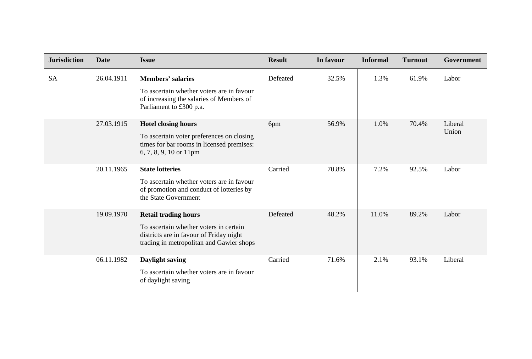| <b>Jurisdiction</b> | <b>Date</b> | <b>Issue</b>                                                                                                                                                 | <b>Result</b> | In favour | <b>Informal</b> | <b>Turnout</b> | Government       |
|---------------------|-------------|--------------------------------------------------------------------------------------------------------------------------------------------------------------|---------------|-----------|-----------------|----------------|------------------|
| <b>SA</b>           | 26.04.1911  | <b>Members' salaries</b><br>To ascertain whether voters are in favour<br>of increasing the salaries of Members of<br>Parliament to £300 p.a.                 | Defeated      | 32.5%     | 1.3%            | 61.9%          | Labor            |
|                     | 27.03.1915  | <b>Hotel closing hours</b><br>To ascertain voter preferences on closing<br>times for bar rooms in licensed premises:<br>6, 7, 8, 9, 10 or 11pm               | 6pm           | 56.9%     | 1.0%            | 70.4%          | Liberal<br>Union |
|                     | 20.11.1965  | <b>State lotteries</b><br>To ascertain whether voters are in favour<br>of promotion and conduct of lotteries by<br>the State Government                      | Carried       | 70.8%     | 7.2%            | 92.5%          | Labor            |
|                     | 19.09.1970  | <b>Retail trading hours</b><br>To ascertain whether voters in certain<br>districts are in favour of Friday night<br>trading in metropolitan and Gawler shops | Defeated      | 48.2%     | 11.0%           | 89.2%          | Labor            |
|                     | 06.11.1982  | Daylight saving<br>To ascertain whether voters are in favour<br>of daylight saving                                                                           | Carried       | 71.6%     | 2.1%            | 93.1%          | Liberal          |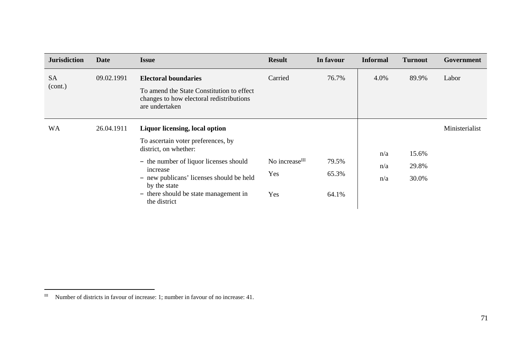| <b>Jurisdiction</b>  | <b>Date</b> | <b>Issue</b>                                                                                                                                                                                                                                                                    | <b>Result</b>                            | In favour               | <b>Informal</b>   | <b>Turnout</b>          | Government     |
|----------------------|-------------|---------------------------------------------------------------------------------------------------------------------------------------------------------------------------------------------------------------------------------------------------------------------------------|------------------------------------------|-------------------------|-------------------|-------------------------|----------------|
| <b>SA</b><br>(cont.) | 09.02.1991  | <b>Electoral boundaries</b><br>To amend the State Constitution to effect<br>changes to how electoral redistributions<br>are undertaken                                                                                                                                          | Carried                                  | 76.7%                   | 4.0%              | 89.9%                   | Labor          |
| WA                   | 26.04.1911  | <b>Liquor licensing, local option</b><br>To ascertain voter preferences, by<br>district, on whether:<br>- the number of liquor licenses should<br>increase<br>- new publicans' licenses should be held<br>by the state<br>- there should be state management in<br>the district | No increase <sup>III</sup><br>Yes<br>Yes | 79.5%<br>65.3%<br>64.1% | n/a<br>n/a<br>n/a | 15.6%<br>29.8%<br>30.0% | Ministerialist |

III Number of districts in favour of increase: 1; number in favour of no increase: 41.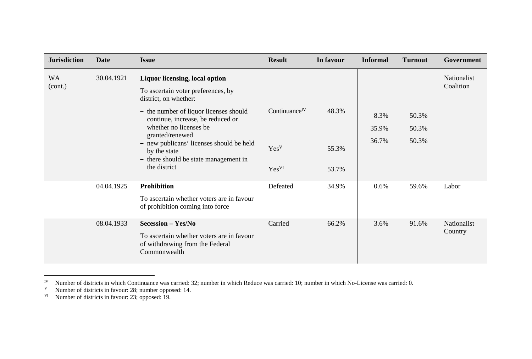| <b>Jurisdiction</b>  | <b>Date</b> | <b>Issue</b>                                                                                                              | <b>Result</b>             | In favour      | <b>Informal</b> | <b>Turnout</b> | Government                      |
|----------------------|-------------|---------------------------------------------------------------------------------------------------------------------------|---------------------------|----------------|-----------------|----------------|---------------------------------|
| <b>WA</b><br>(cont.) | 30.04.1921  | Liquor licensing, local option<br>To ascertain voter preferences, by<br>district, on whether:                             |                           |                |                 |                | <b>Nationalist</b><br>Coalition |
|                      |             | - the number of liquor licenses should<br>continue, increase, be reduced or<br>whether no licenses be<br>granted/renewed  | Continuance <sup>IV</sup> | 48.3%          | 8.3%<br>35.9%   | 50.3%<br>50.3% |                                 |
|                      |             | - new publicans' licenses should be held<br>by the state<br>- there should be state management in<br>the district         | Yes <sup>V</sup><br>YesVI | 55.3%<br>53.7% | 36.7%           | 50.3%          |                                 |
|                      | 04.04.1925  | <b>Prohibition</b><br>To ascertain whether voters are in favour<br>of prohibition coming into force                       | Defeated                  | 34.9%          | 0.6%            | 59.6%          | Labor                           |
|                      | 08.04.1933  | <b>Secession - Yes/No</b><br>To ascertain whether voters are in favour<br>of withdrawing from the Federal<br>Commonwealth | Carried                   | 66.2%          | 3.6%            | 91.6%          | Nationalist-<br>Country         |

<sup>&</sup>lt;sup>IV</sup> Number of districts in which Continuance was carried: 32; number in which Reduce was carried: 10; number in which No-License was carried: 0.

V Number of districts in favour: 28; number opposed: 14.

<sup>&</sup>lt;sup>VI</sup> Number of districts in favour: 23; opposed: 19.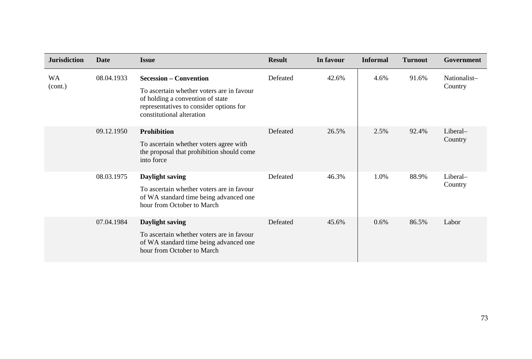| <b>Jurisdiction</b>  | <b>Date</b> | <b>Issue</b>                                                                                                                                                                           | <b>Result</b> | In favour | <b>Informal</b> | <b>Turnout</b> | Government              |
|----------------------|-------------|----------------------------------------------------------------------------------------------------------------------------------------------------------------------------------------|---------------|-----------|-----------------|----------------|-------------------------|
| <b>WA</b><br>(cont.) | 08.04.1933  | <b>Secession – Convention</b><br>To ascertain whether voters are in favour<br>of holding a convention of state<br>representatives to consider options for<br>constitutional alteration | Defeated      | 42.6%     | 4.6%            | 91.6%          | Nationalist-<br>Country |
|                      | 09.12.1950  | <b>Prohibition</b><br>To ascertain whether voters agree with<br>the proposal that prohibition should come<br>into force                                                                | Defeated      | 26.5%     | 2.5%            | 92.4%          | Liberal-<br>Country     |
|                      | 08.03.1975  | Daylight saving<br>To ascertain whether voters are in favour<br>of WA standard time being advanced one<br>hour from October to March                                                   | Defeated      | 46.3%     | 1.0%            | 88.9%          | Liberal-<br>Country     |
|                      | 07.04.1984  | Daylight saving<br>To ascertain whether voters are in favour<br>of WA standard time being advanced one<br>hour from October to March                                                   | Defeated      | 45.6%     | 0.6%            | 86.5%          | Labor                   |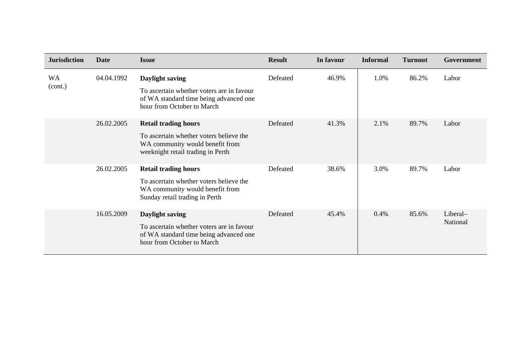| <b>Jurisdiction</b> | Date       | <b>Issue</b>                                                                                                                                   | <b>Result</b> | In favour | <b>Informal</b> | <b>Turnout</b> | Government           |
|---------------------|------------|------------------------------------------------------------------------------------------------------------------------------------------------|---------------|-----------|-----------------|----------------|----------------------|
| WA<br>(cont.)       | 04.04.1992 | Daylight saving<br>To ascertain whether voters are in favour<br>of WA standard time being advanced one<br>hour from October to March           | Defeated      | 46.9%     | 1.0%            | 86.2%          | Labor                |
|                     | 26.02.2005 | <b>Retail trading hours</b><br>To ascertain whether voters believe the<br>WA community would benefit from<br>weeknight retail trading in Perth | Defeated      | 41.3%     | 2.1%            | 89.7%          | Labor                |
|                     | 26.02.2005 | <b>Retail trading hours</b><br>To ascertain whether voters believe the<br>WA community would benefit from<br>Sunday retail trading in Perth    | Defeated      | 38.6%     | 3.0%            | 89.7%          | Labor                |
|                     | 16.05.2009 | Daylight saving<br>To ascertain whether voters are in favour<br>of WA standard time being advanced one<br>hour from October to March           | Defeated      | 45.4%     | 0.4%            | 85.6%          | Liberal-<br>National |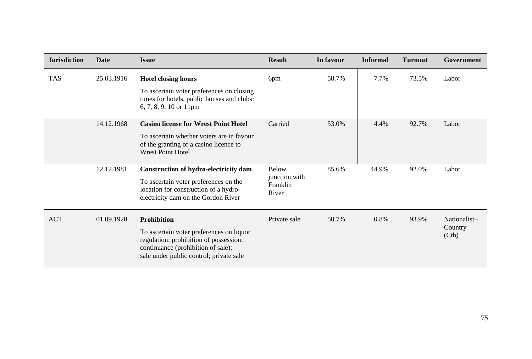| <b>Jurisdiction</b> | <b>Date</b> | <b>Issue</b>                                                                                                                                                        | <b>Result</b>                                      | In favour | <b>Informal</b> | <b>Turnout</b> | Government      |
|---------------------|-------------|---------------------------------------------------------------------------------------------------------------------------------------------------------------------|----------------------------------------------------|-----------|-----------------|----------------|-----------------|
| <b>TAS</b>          | 25.03.1916  | <b>Hotel closing hours</b>                                                                                                                                          | 6pm                                                | 58.7%     | 7.7%            | 73.5%          | Labor           |
|                     |             | To ascertain voter preferences on closing<br>times for hotels, public houses and clubs:<br>6, 7, 8, 9, 10 or $11 \text{pm}$                                         |                                                    |           |                 |                |                 |
|                     | 14.12.1968  | <b>Casino license for Wrest Point Hotel</b>                                                                                                                         | Carried                                            | 53.0%     | 4.4%            | 92.7%          | Labor           |
|                     |             | To ascertain whether voters are in favour<br>of the granting of a casino licence to<br><b>Wrest Point Hotel</b>                                                     |                                                    |           |                 |                |                 |
|                     | 12.12.1981  | Construction of hydro-electricity dam<br>To ascertain voter preferences on the<br>location for construction of a hydro-<br>electricity dam on the Gordon River      | <b>Below</b><br>junction with<br>Franklin<br>River | 85.6%     | 44.9%           | 92.0%          | Labor           |
| <b>ACT</b>          | 01.09.1928  | <b>Prohibition</b>                                                                                                                                                  | Private sale                                       | 50.7%     | 0.8%            | 93.9%          | Nationalist-    |
|                     |             | To ascertain voter preferences on liquor<br>regulation: prohibition of possession;<br>continuance (prohibition of sale);<br>sale under public control; private sale |                                                    |           |                 |                | Country<br>(Ch) |